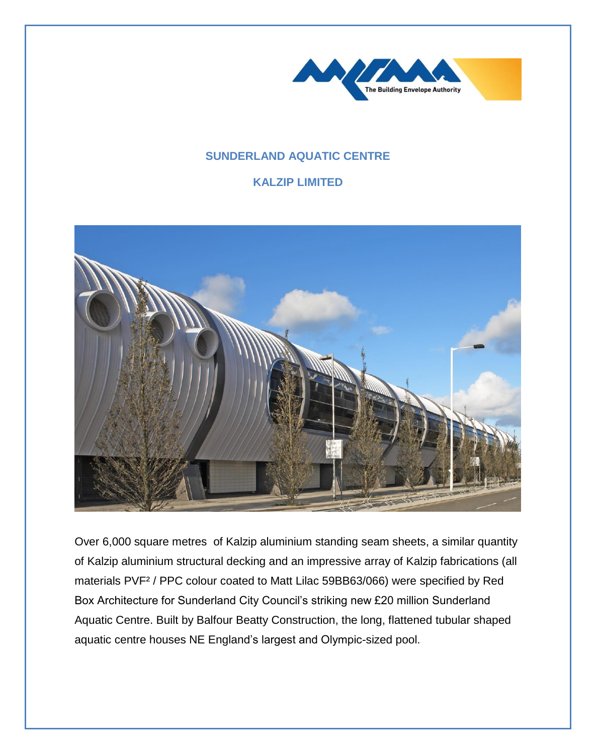

## **SUNDERLAND AQUATIC CENTRE**

## **KALZIP LIMITED**



Over 6,000 square metres of Kalzip aluminium standing seam sheets, a similar quantity of Kalzip aluminium structural decking and an impressive array of Kalzip fabrications (all materials PVF² / PPC colour coated to Matt Lilac 59BB63/066) were specified by Red Box Architecture for Sunderland City Council's striking new £20 million Sunderland Aquatic Centre. Built by Balfour Beatty Construction, the long, flattened tubular shaped aquatic centre houses NE England's largest and Olympic-sized pool.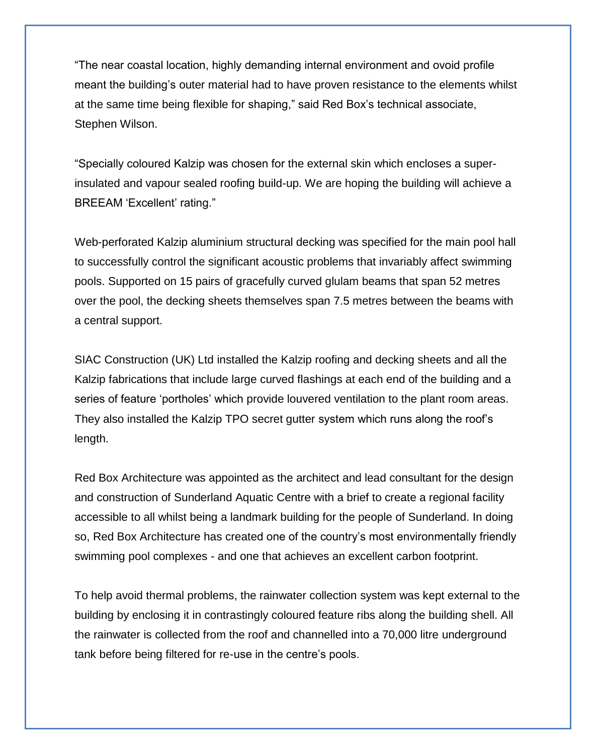"The near coastal location, highly demanding internal environment and ovoid profile meant the building's outer material had to have proven resistance to the elements whilst at the same time being flexible for shaping," said Red Box's technical associate, Stephen Wilson.

"Specially coloured Kalzip was chosen for the external skin which encloses a superinsulated and vapour sealed roofing build-up. We are hoping the building will achieve a BREEAM 'Excellent' rating."

Web-perforated Kalzip aluminium structural decking was specified for the main pool hall to successfully control the significant acoustic problems that invariably affect swimming pools. Supported on 15 pairs of gracefully curved glulam beams that span 52 metres over the pool, the decking sheets themselves span 7.5 metres between the beams with a central support.

SIAC Construction (UK) Ltd installed the Kalzip roofing and decking sheets and all the Kalzip fabrications that include large curved flashings at each end of the building and a series of feature 'portholes' which provide louvered ventilation to the plant room areas. They also installed the Kalzip TPO secret gutter system which runs along the roof's length.

Red Box Architecture was appointed as the architect and lead consultant for the design and construction of Sunderland Aquatic Centre with a brief to create a regional facility accessible to all whilst being a landmark building for the people of Sunderland. In doing so, Red Box Architecture has created one of the country's most environmentally friendly swimming pool complexes - and one that achieves an excellent carbon footprint.

To help avoid thermal problems, the rainwater collection system was kept external to the building by enclosing it in contrastingly coloured feature ribs along the building shell. All the rainwater is collected from the roof and channelled into a 70,000 litre underground tank before being filtered for re-use in the centre's pools.